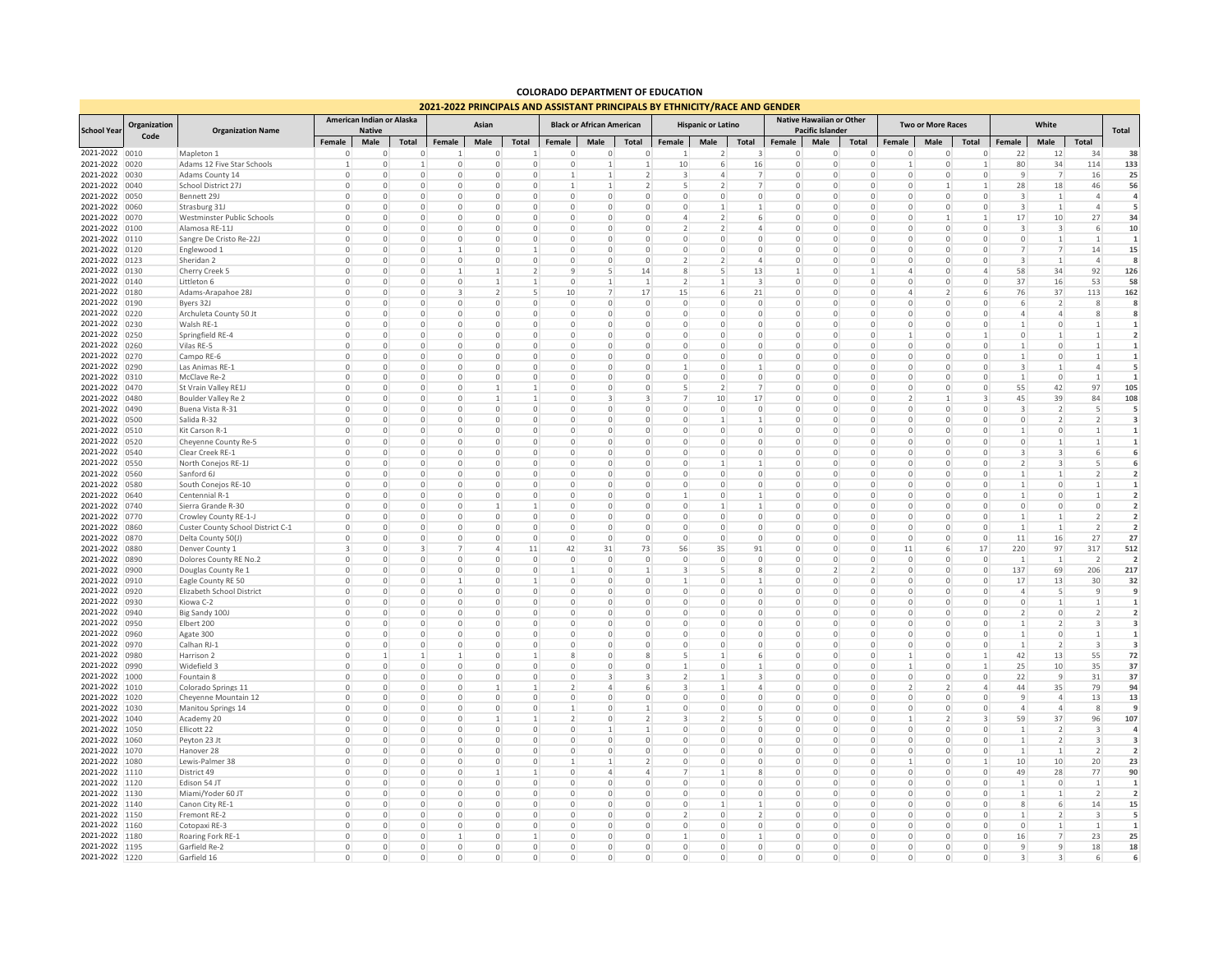## **COLORADO DEPARTMENT OF EDUCATION 2021-2022 PRINCIPALS AND ASSISTANT PRINCIPALS BY ETHNICITY/RACE AND GENDER**

|                                  |                      |                                              |                            | <b>2021-2022 FRINCIPALS AND ASSISTANT FRINCIPALS DT ETHNICH TANCE AND GENDE</b> |                              |                            |                             |                                  |                            |                         |                                |                            |                               |                         |                            |                                 |                              |                    |                          |                            |                         |                               |                          |                          |
|----------------------------------|----------------------|----------------------------------------------|----------------------------|---------------------------------------------------------------------------------|------------------------------|----------------------------|-----------------------------|----------------------------------|----------------------------|-------------------------|--------------------------------|----------------------------|-------------------------------|-------------------------|----------------------------|---------------------------------|------------------------------|--------------------|--------------------------|----------------------------|-------------------------|-------------------------------|--------------------------|--------------------------|
| <b>School Year</b>               | Organization<br>Code | <b>Organization Name</b>                     | American Indian or Alaska  |                                                                                 | Asian                        |                            |                             | <b>Black or African American</b> |                            |                         |                                | <b>Hispanic or Latino</b>  |                               |                         | Native Hawaiian or Other   |                                 | <b>Two or More Races</b>     |                    |                          | White                      |                         |                               |                          |                          |
|                                  |                      |                                              | Female                     | <b>Native</b><br>Male                                                           | <b>Total</b>                 | Female                     | Male                        | Total                            | Female                     | Male                    | Total                          | Female                     | Male                          | Total                   | Female                     | <b>Pacific Islander</b><br>Male | Total                        | Female             | Male                     | Total                      | <b>Female</b>           | Male                          | Total                    | Total                    |
| 2021-2022 0010                   |                      | Mapleton 1                                   | $^{\circ}$                 | O                                                                               | $\mathbf{0}$                 | 1                          | $\Omega$                    |                                  | $\circ$                    | $\Omega$                | $\mathbf 0$                    |                            | 2                             | 3                       | $^{\circ}$                 | $\Omega$                        | $\Omega$                     | $\mathbf 0$        | 0                        | $\Omega$                   | 22                      | 12                            | 34                       | 38                       |
| 2021-2022 0020                   |                      | Adams 12 Five Star Schools                   |                            | O                                                                               | $\mathbf{1}$                 | $\mathbf 0$                | $\Omega$                    | $\circ$                          | $\mathbf 0$                |                         | 1                              | 10                         | 6                             | 16                      | $\mathbf 0$                | $\Omega$                        | $\Omega$                     | $\mathbf{1}$       | 0                        |                            | 80                      | 34                            | 114                      | 133                      |
| 2021-2022 0030                   |                      | Adams County 14                              | $\Omega$                   | 0                                                                               | $\mathbf{0}$                 | 0                          | 0                           | $\circ$                          | 1                          | $\mathbf{1}$            | 2                              | 3                          | $\overline{4}$                | 7                       | $\mathbf 0$                | $\Omega$                        | $\Omega$                     | $\circ$            | $\circ$                  | $\Omega$                   | 9                       | $\overline{7}$                | 16                       | 25                       |
| 2021-2022 0040                   |                      | School District 27J                          | $^{\circ}$                 | $\mathbf 0$                                                                     | $\mathbf{0}$                 | $\mathbf 0$                | 0                           | $\circ$                          | $\overline{1}$             | $\overline{1}$          | 2                              | -5                         | 2                             | $\overline{7}$          | $\mathbf 0$                | $\mathbf 0$                     | $\Omega$                     | $\mathbf 0$        | $\mathbf{1}$             |                            | 28                      | 18                            | 46                       | 56                       |
| 2021-2022 0050                   |                      | Bennett 29.                                  | $\Omega$                   | $\Omega$                                                                        | $\Omega$                     | 0                          | $\Omega$                    | $\circ$                          | $\circ$                    | $\Omega$                | $\mathbf{0}$                   | $\Omega$                   | $\Omega$                      | $\Omega$                | $\Omega$                   | $\Omega$                        | $\Omega$                     | $\Omega$           | $\circ$                  | $\Omega$                   | $\overline{3}$          | -1                            | $\overline{4}$           | $\overline{a}$           |
| 2021-2022 0060                   |                      | Strasburg 31                                 | $\Omega$                   | $\Omega$                                                                        | $\Omega$                     | $\Omega$                   | $\Omega$<br>$\Omega$        | $\Omega$                         | 0                          | $\cap$<br>$\Omega$      | $\Omega$                       | $\Omega$<br>$\overline{4}$ | 1<br>$\overline{\phantom{a}}$ | 1                       | $\Omega$                   | $\Omega$                        | $\Omega$                     | $\Omega$           | $\Omega$<br>1            | $\Omega$                   | $\overline{3}$          | $\overline{1}$                | $\Delta$                 | 5                        |
| 2021-2022<br>2021-2022 0100      | 0070                 | Westminster Public Schools<br>Alamosa RE-11J | $\Omega$<br>$\mathbf 0$    | $\mathbf 0$<br>$\mathbf 0$                                                      | $\mathbf{0}$<br>$\circ$      | $\mathbf 0$<br>$\mathbf 0$ | $\circ$                     | $\circ$<br>$\mathbb O$           | $\mathbf 0$<br>$\mathbf 0$ | $\Omega$                | $\mathbf{0}$<br>$\circ$        | $\overline{\phantom{a}}$   | $\mathcal{P}$                 | 6<br>$\overline{4}$     | $\mathbf 0$<br>$\mathbf 0$ | $\mathbf 0$<br>$\mathbf 0$      | $\mathbf{0}$<br>$\mathbf{0}$ | 0<br>$\mathbf 0$   | $\mathbf 0$              | $\Omega$                   | 17<br>3                 | 10<br>$\overline{\mathbf{3}}$ | 27<br>6                  | 34<br>10                 |
| 2021-2022 0110                   |                      | Sangre De Cristo Re-22J                      | $^{\circ}$                 | $\mathbf 0$                                                                     | $\mathbf{0}$                 | $\mathbf 0$                | $\circ$                     | $\circ$                          | $\mathbf 0$                | $\mathbf{0}$            | $\circ$                        | $\overline{0}$             | $\mathbf 0$                   | 0                       | $\mathbf 0$                | $\mathbf 0$                     | $\mathbf{0}$                 | $\mathbf 0$        | 0                        | $\Omega$                   | $\mathbf 0$             | $\mathbf{1}$                  | 1                        | 1                        |
| 2021-2022 0120                   |                      | Englewood 1                                  | $\Omega$                   | $\Omega$                                                                        | $\circ$                      | 1                          | $\Omega$                    | $\mathbf{1}$                     | $\mathbf 0$                | $\Omega$                | $\circ$                        | $\mathbf{0}$               | $\Omega$                      | $\circ$                 | $\circ$                    | $\Omega$                        | $\Omega$                     | $\circ$            | $\mathbf 0$              | $\Omega$                   | $\overline{7}$          | $\overline{7}$                | 14                       | 15                       |
| 2021-2022 0123                   |                      | Sheridan 2                                   | $\Omega$                   | 0                                                                               | $\circ$                      | $\circ$                    | $\Omega$                    | $\circ$                          | $\circ$                    | $\Omega$                | 0                              | 2                          | 2                             | 4                       | $\circ$                    | $\Omega$                        | $\Omega$                     | $\circ$            | 0                        | $\Omega$                   | 3                       | $\mathbf{1}$                  | $\overline{4}$           | я                        |
| 2021-2022 0130                   |                      | Cherry Creek 5                               | $\mathbf 0$                | 0                                                                               | $\circ$                      | 1                          |                             | $\overline{2}$                   | 9                          | 5                       | 14                             | 8                          | 5                             | 13                      | 1                          | $\mathbf 0$                     | 1                            | $\overline{4}$     | $\mathbf 0$              | $\overline{4}$             | 58                      | 34                            | 92                       | 126                      |
| 2021-2022 0140                   |                      | Littleton 6                                  | $\mathbf 0$                | $\Omega$                                                                        | $\mathbf{0}$                 | $\mathbf 0$                |                             | 1                                | $\circ$                    |                         | $\mathbf{1}$                   | 2                          |                               | 3                       | $\circ$                    | $\mathbf 0$                     | $\mathbf{0}$                 | $\mathbf 0$        | 0                        | $\Omega$                   | 37                      | 16                            | 53                       | 58                       |
| 2021-2022 0180                   |                      | Adams-Arapahoe 28J                           | $\Omega$                   | $\Omega$                                                                        | $\Omega$                     | 3                          | $\overline{\phantom{a}}$    | 5                                | 10                         | $\overline{7}$          | 17                             | 15                         | 6                             | 21                      | $\Omega$                   | $\Omega$                        | $\Omega$                     | $\overline{a}$     | $\mathcal{P}$            | -6                         | 76                      | 37                            | 113                      | 162                      |
| 2021-2022 0190                   |                      | Byers 32J                                    | $\Omega$                   | $\Omega$                                                                        | $\circ$                      | 0                          | $\Omega$                    | $\circ$                          | $\mathbf 0$                | $\Omega$                | $\circ$                        | $\overline{0}$             | $\Omega$                      | 0                       | $\mathbf 0$                | $\Omega$                        | $\mathbf{0}$                 | 0                  | 0                        | $\mathbf{0}$               | 6                       | 2                             | 8                        | 8                        |
| 2021-2022 0220                   |                      | Archuleta County 50 Jt                       | $\mathbf 0$                | $\Omega$                                                                        | $\mathbf{0}$                 | $\mathbf 0$                | $\Omega$                    | $\circ$                          | $\mathbf 0$                | $\Omega$                | $\circ$                        | $\overline{0}$             | $\Omega$                      | 0                       | $\mathbf 0$                | $\mathbf 0$                     | $\mathbf{0}$                 | 0                  | 0                        | $\Omega$                   | $\overline{4}$          | $\overline{4}$                | 8                        | 8                        |
| 2021-2022 0230                   |                      | Walsh RE-1                                   | $\Omega$                   |                                                                                 | $\mathbf{0}$                 | 0                          |                             | $\overline{0}$                   | $\Omega$                   |                         | $\circ$                        | $\Omega$                   | $\Omega$                      | $\Omega$                | $\Omega$                   | $\Omega$                        | $\Omega$                     | $\Omega$           | $\Omega$                 |                            |                         | $\Omega$                      |                          |                          |
| 2021-2022 0250                   |                      | Springfield RE-4                             | $\mathbf 0$                | $\Omega$                                                                        | $\circ$                      | $\mathbf 0$                | $\Omega$                    | $\mathbb O$                      | $\mathbf 0$                | $\mathbf{0}$            | $\circ$                        | $\mathbf{0}$               | $\mathbf 0$                   | $\mathbf 0$             | $\mathbf 0$                | $\mathbf 0$                     | $\circ$                      | 1                  | $\mathbf 0$              |                            | $\mathbf 0$             | $\mathbf{1}$                  | $\mathbf{1}$             | $\overline{2}$           |
| 2021-2022 0260                   |                      | Vilas RE-5                                   | $\Omega$                   | $\Omega$                                                                        | $\circ$                      | $\Omega$                   | $\Omega$                    | $\Omega$                         | $\Omega$                   | $\Omega$                | $\Omega$                       | $\Omega$                   | $\Omega$                      | $\Omega$                | $\Omega$                   | $\Omega$                        | $\Omega$                     | $\Omega$           | $\Omega$                 | $\Omega$                   | 1                       | $\Omega$                      | 1                        | $\mathbf{1}$             |
| 2021-2022 0270                   |                      | Campo RE-6                                   | $\Omega$                   | O                                                                               | $\circ$                      | $\Omega$                   | $\Omega$                    | $\circ$                          | $\circ$                    | $\Omega$                | 0                              | $\circ$                    | $\Omega$                      | 0                       | $^{\circ}$                 | $\Omega$                        | $\Omega$                     | 0                  | 0                        | $\Omega$                   | 1                       | $\Omega$                      | -1.                      | $\mathbf{1}$             |
| 2021-2022 0290                   |                      | Las Animas RE-1                              | $\mathbf 0$                | 0                                                                               | $\mathbf{0}$                 | $\mathbf 0$                | 0                           | $\circ$                          | $\mathbf 0$                |                         | 0                              |                            | $\mathbf{0}$                  |                         | $\mathbf 0$                | 0                               | $\circ$                      | $\circ$            | 0                        |                            | 3                       |                               | 4                        | 5                        |
| 2021-2022 0310                   |                      | McClave Re-2                                 | $\Omega$                   | $\Omega$                                                                        | $\circ$                      | $\mathbf 0$                | $\Omega$                    | $\mathbb O$                      | $\mathbf 0$                | $\Omega$                | $\circ$                        | $\Omega$                   | $\mathbf 0$                   | $\circ$                 | $\mathbf 0$                | $\Omega$                        | $\Omega$                     | $\mathbf 0$        | $\Omega$                 | $\Omega$                   | $\mathbf{1}$            | $\Omega$                      | $\mathbf{1}$             | $\mathbf{1}$             |
| 2021-2022 0470                   |                      | St Vrain Valley RE1J                         | $\Omega$                   | $\Omega$                                                                        | $\Omega$                     | $\Omega$                   | -1                          | 1 <sup>1</sup>                   | $\Omega$                   | $\Omega$                | $\Omega$                       | -5                         | $\overline{\phantom{a}}$      | $\overline{7}$          | $\Omega$                   | $\Omega$                        | $\Omega$                     | $\Omega$           | $\Omega$                 | $\Omega$                   | 55                      | 42                            | 97                       | 105                      |
| 2021-2022 0480                   |                      | Boulder Valley Re 2                          | $\Omega$                   | $\Omega$                                                                        | $\mathbf{0}$                 | 0                          | $\mathbf{1}$                | 1 <sup>1</sup>                   | $^{\circ}$                 | $\overline{3}$          | $\overline{3}$                 | $\overline{7}$             | 10                            | 17                      | $\Omega$                   | $\mathbf 0$                     | $\mathbf{0}$                 | 2                  | $\mathbf{1}$             | $\overline{3}$             | 45                      | 39                            | 84                       | 108                      |
| 2021-2022 0490                   |                      | Buena Vista R-31                             | $\Omega$                   | 0                                                                               | $\circ$                      | 0                          | $\Omega$                    | $\circ$                          | 0                          | $\Omega$                | $\circ$                        | 0                          | $\mathbf 0$                   | $\mathbf 0$             | $^{\circ}$                 | 0                               | $\Omega$                     | $\mathbf 0$        | $\mathbf 0$              | $\Omega$                   | 3                       | $\overline{\phantom{a}}$      | 5                        | 5                        |
| 2021-2022 0500<br>2021-2022 0510 |                      | Salida R-32<br>Kit Carson R-1                | $\mathbf 0$<br>$\mathbf 0$ | $\mathbf 0$<br>$\mathbf 0$                                                      | $\circ$<br>$\circ$           | $\mathbf 0$<br>$\mathbf 0$ | $\mathbf{0}$<br>$\mathbb O$ | $\circ$<br>$\mathbb O$           | 0<br>$\circ$               | $\mathbf{0}$<br>$\circ$ | $\circ$<br>$\circ$             | $\circ$<br>$\circ$         | $\circ$                       | $\mathbf{1}$<br>$\circ$ | $\circ$<br>$\circ$         | $\mathbf 0$<br>$\mathbf 0$      | $\mathbf{0}$<br>$\circ$      | $\circ$<br>$\circ$ | 0<br>$\mathbf 0$         | $\mathbf{0}$<br>$\circ$    | $\circ$<br>$\mathbf{1}$ | 2<br>$\circ$                  | 2<br>$\mathbf{1}$        | 3<br>$\mathbf{1}$        |
| 2021-2022 0520                   |                      |                                              | $\Omega$                   | 0                                                                               | $\mathbf{0}$                 | $\circ$                    | $\Omega$                    | $\circ$                          | $\mathbf 0$                | $\Omega$                | 0                              | $\overline{0}$             | $\Omega$                      | 0                       | $\mathbf 0$                | $\Omega$                        | $\Omega$                     | $\circ$            | 0                        | $\Omega$                   | $\circ$                 | $\mathbf{1}$                  | 1                        |                          |
| 2021-2022 0540                   |                      | Cheyenne County Re-5<br>Clear Creek RE-1     | $^{\circ}$                 | 0                                                                               | $\circ$                      | 0                          | 0                           | $\circ$                          | 0                          | $\circ$                 | 0                              | $\circ$                    | $\circ$                       | 0                       | 0                          | $\mathbf 0$                     | 0                            | $\circ$            | $\mathbf 0$              | $\circ$                    | 3                       | 3                             | 6                        |                          |
| 2021-2022 0550                   |                      | North Conejos RE-1J                          | $\mathbf 0$                | $\Omega$                                                                        | $\circ$                      | $\mathbf 0$                | $\Omega$                    | $\mathbb O$                      | 0                          | $\Omega$                | $\circ$                        | $\Omega$                   | $\mathbf{1}$                  | 1                       | $\circ$                    | $\Omega$                        | $\Omega$                     | $\circ$            | $\Omega$                 | $\Omega$                   | $\overline{2}$          | $\overline{3}$                | 5                        |                          |
| 2021-2022 0560                   |                      | Sanford 6J                                   | $\Omega$                   | n                                                                               | $\mathbf{0}$                 | $\Omega$                   | $\Omega$                    | $\Omega$                         | $\circ$                    | $\cap$                  | $\mathbf{0}$                   | $\Omega$                   | $\Omega$                      | 0                       | $\Omega$                   | $\Omega$                        | $\Omega$                     | $\Omega$           | $\Omega$                 | $\Omega$                   | 1                       | $\mathbf{1}$                  |                          |                          |
| 2021-2022 0580                   |                      | South Conejos RE-10                          | 0                          | $\Omega$                                                                        | $\mathbf{0}$                 | $\mathbf 0$                | $\Omega$                    | $\circ$                          | $\mathbf 0$                | $\Omega$                | $\circ$                        | 0                          | $\Omega$                      | 0                       | $\mathbf 0$                | $\mathbf 0$                     | $\mathbf{0}$                 | 0                  | 0                        | $\mathbf{0}$               | 1                       | $\circ$                       |                          |                          |
| 2021-2022 0640                   |                      | Centennial R-1                               | $\mathbf 0$                | $\Omega$                                                                        | $\circ$                      | $\mathbf 0$                | $\circ$                     | $\circ$                          | $\mathbf 0$                | $\Omega$                | $\circ$                        |                            | $\mathbf 0$                   | 1                       | $\mathbf 0$                | $\mathbf 0$                     | $\mathbf{0}$                 | 0                  | 0                        | $\mathbf{0}$               |                         | $\circ$                       |                          |                          |
| 2021-2022 0740                   |                      | Sierra Grande R-30                           | $\Omega$                   | $\Omega$                                                                        | $\Omega$                     | $\Omega$                   |                             | $\mathbf{1}$                     | $\Omega$                   | $\Omega$                | $\Omega$                       | $\Omega$                   |                               | 1                       | $\Omega$                   | $\Omega$                        | $\Omega$                     | $\Omega$           | $\Omega$                 | $\Omega$                   | $\Omega$                | $\Omega$                      | $\Omega$                 | $\overline{\phantom{a}}$ |
| 2021-2022 0770                   |                      | Crowley County RE-1-J                        | $\Omega$                   | O                                                                               | $\mathbf{0}$                 | $\mathbf 0$                | $\Omega$                    | $\circ$                          | $\mathbf 0$                | $\Omega$                | $\mathbf{0}$                   | $\circ$                    | $\Omega$                      | $\circ$                 | $^{\circ}$                 | $\Omega$                        | $\Omega$                     | $\Omega$           | $\circ$                  | $\Omega$                   | $\mathbf{1}$            | $\overline{1}$                | $\overline{\phantom{a}}$ | $\overline{2}$           |
| 2021-2022 0860                   |                      | Custer County School District C-1            | $\Omega$                   | $\Omega$                                                                        | $\mathbf{0}$                 | $\mathbf 0$                | $\Omega$                    | $\circ$                          | $\mathbf 0$                | $\Omega$                | $\circ$                        | $\overline{0}$             | $\Omega$                      | 0                       | $\mathbf 0$                | $\mathbf 0$                     | $\Omega$                     | $\circ$            | $\circ$                  | $\Omega$                   | 1                       | $\mathbf{1}$                  | 2                        | $\overline{2}$           |
| 2021-2022 0870                   |                      | Delta County 50(J)                           | 0                          | 0                                                                               | $\circ$                      | 0                          | 0                           | $\circ$                          | 0                          | $\Omega$                | 0                              | 0                          | 0                             | 0                       | 0                          | $\Omega$                        | 0                            | 0                  | $\mathbf 0$              | $\Omega$                   | 11                      | 16                            | 27                       | 27                       |
| 2021-2022 0880                   |                      | Denver County 1                              | 3                          | $\Omega$                                                                        | $\overline{3}$               |                            | $\overline{4}$              | 11                               | 42                         | 31                      | 73                             | 56                         | 35                            | 91                      | $\mathbf 0$                | $\mathbf 0$                     | $\Omega$                     | 11                 | 6                        | 17                         | 220                     | 97                            | 317                      | 512                      |
| 2021-2022 0890                   |                      | Dolores County RE No.2                       | $\Omega$                   | $\Omega$                                                                        | $\Omega$                     | $\Omega$                   | $\Omega$                    | $\Omega$                         | $\Omega$                   | $\Omega$                | $\Omega$                       | $\Omega$                   | $\Omega$                      | $\Omega$                | $\Omega$                   | $\Omega$                        | $\Omega$                     | $\Omega$           | $\Omega$                 | $\Omega$                   | $\overline{1}$          | $\overline{1}$                | $\overline{\phantom{a}}$ | $\overline{2}$           |
| 2021-2022 0900                   |                      | Douglas County Re 1                          | $\Omega$                   | 0                                                                               | $\mathbf{0}$                 | 0                          | $\Omega$                    | $\circ$                          | -1                         | $\cap$                  | $\mathbf{1}$                   | $\mathbf{R}$               | 5                             | 8                       | $^{\circ}$                 | $\overline{\phantom{a}}$        | $\overline{2}$               | $^{\circ}$         | $\circ$                  | $\circ$                    | 137                     | 69                            | 206                      | 217                      |
| 2021-2022 0910                   |                      | Eagle County RE 50                           | $\Omega$                   | $\mathbf 0$                                                                     | $\mathbf{0}$                 |                            | $\Omega$                    | 1                                | $\mathbf 0$                | $\Omega$                | $\circ$                        |                            | $\mathbf 0$                   | $\mathbf{1}$            | $\mathbf 0$                | $\mathbf 0$                     | $\circ$                      | $\mathbf 0$        | $\circ$                  | $\Omega$                   | 17                      | 13                            | 30                       | 32                       |
| 2021-2022 0920                   |                      | Elizabeth School District                    | $\Omega$                   | $\Omega$                                                                        | $\mathbf{0}$                 | $\mathbf 0$                | $\Omega$                    | $\circ$                          | $\circ$                    | $\Omega$                | $\mathbf{0}$                   | $\overline{0}$             | $\mathbf 0$                   | $\Omega$                | $\mathbf 0$                | $\mathbf 0$                     | $\Omega$                     | $\circ$            | 0                        | $\Omega$                   | $\overline{4}$          | 5                             | 9                        | 9                        |
| 2021-2022 0930                   |                      | Kiowa C-2                                    | $^{\circ}$                 | $\mathbf 0$                                                                     | $\mathbf{0}$                 | $\mathbf 0$                | $\circ$                     | $\circ$                          | $\mathbf 0$                | $\mathbf{0}$            | $\circ$                        | $\overline{0}$             | $\mathbf 0$                   | 0                       | $\mathbf 0$                | $\mathbf 0$                     | $\mathbf{0}$                 | $\mathbf 0$        | $\mathbf 0$              | $\mathbf{0}$               | $\mathbf 0$             | $\mathbf{1}$                  |                          | $\mathbf{1}$             |
| 2021-2022 0940                   |                      | Big Sandy 100J                               | $\Omega$                   | $\Omega$                                                                        | $\Omega$                     | $\Omega$                   | $\Omega$                    | $\Omega$                         | $\mathbf 0$                | $\Omega$                | $\Omega$                       | $\mathbf{0}$               | $\Omega$                      | $\Omega$                | $\Omega$                   | $\Omega$                        | $\Omega$                     | $\Omega$           | $\Omega$                 | $\Omega$                   | 2                       | $\Omega$                      | $\overline{\phantom{a}}$ | $\overline{2}$           |
| 2021-2022 0950                   |                      | Elbert 200                                   | $\Omega$                   | 0                                                                               | $\mathbf{0}$                 | $\circ$                    | $\Omega$                    | $\circ$                          | $\mathbf 0$                | $\Omega$                | $\circ$                        | $\circ$                    | $\Omega$                      | 0                       | $\mathbf 0$                | $\Omega$                        | $\Omega$                     | $\circ$            | 0                        | $\Omega$                   | 1                       | $\overline{\phantom{a}}$      | 3                        | 3                        |
| 2021-2022 0960                   |                      | Agate 300                                    | $\mathbf 0$                | 0                                                                               | $\mathbf{0}$                 | $\mathbf 0$                | 0                           | $\circ$                          | $\mathbf 0$                |                         | 0                              | $\circ$                    | $\mathbf 0$                   | 0                       | $\mathbf 0$                | 0                               | $\circ$                      | 0                  | 0                        |                            | 1                       | $\circ$                       |                          |                          |
| 2021-2022 0970                   |                      | Calhan RJ-1                                  | $\mathbf 0$                | $\Omega$                                                                        | $\mathbf{0}$                 | $\mathbf 0$                | $\Omega$                    | $\circ$                          | $\circ$                    | $\Omega$                | $\circ$                        | $\Omega$                   | $\mathbf 0$                   | 0                       | $\circ$                    | $\mathbf 0$                     | $\mathbf{0}$                 | $\mathbf 0$        | 0                        | $\mathbf{0}$               | 1                       | $\overline{2}$                | 3                        | $\overline{3}$           |
| 2021-2022 0980                   |                      | Harrison 2                                   | $\Omega$                   | 1<br>$\Omega$                                                                   | $\overline{1}$               | 1                          | $\Omega$                    | 1 <sup>1</sup>                   | 8                          | $\Omega$                | 8                              | 5                          | -1.                           | 6                       | $\Omega$<br>$\Omega$       | $\Omega$                        | $\Omega$                     | 1                  | $\Omega$                 | $\overline{1}$             | 42                      | 13                            | 55                       | 72                       |
| 2021-2022 0990<br>2021-2022 1000 |                      | Widefield 3<br>Fountain 8                    | $\Omega$<br>$\Omega$       | $\Omega$                                                                        | $\mathbf{0}$<br>$\mathbf{0}$ | 0<br>$\mathbf 0$           | $\Omega$<br>$\Omega$        | $\circ$<br>$\circ$               | 0<br>$\mathbf 0$           | $\Omega$                | $\mathbf{0}$<br>$\overline{3}$ | $\overline{\phantom{a}}$   | $\Omega$                      | 1<br>3                  | $\Omega$                   | $\Omega$<br>$\Omega$            | $\mathbf{0}$<br>$\mathbf{0}$ | 1<br>0             | 0<br>$\circ$             | $\overline{1}$<br>$\Omega$ | 25<br>22                | 10<br>9                       | 35<br>31                 | 37<br>37                 |
| 2021-2022 1010                   |                      | Colorado Springs 11                          | $\Omega$                   |                                                                                 | $\Omega$                     |                            |                             |                                  |                            |                         | 6                              |                            |                               | 4                       | $\Omega$                   | $\Omega$                        | 0                            |                    |                          |                            | 44                      | 35                            | 79                       | 94                       |
| 2021-2022 1020                   |                      | Cheyenne Mountain 12                         | $\mathbf 0$                | $\Omega$                                                                        | $\circ$                      | $\mathbf 0$                | $\Omega$                    | $\mathbb O$                      | $\mathbf 0$                | $\Omega$                | $\circ$                        | $\mathbf{0}$               | $\mathbf 0$                   | $\mathbf 0$             | $\mathbf 0$                | $\mathbf 0$                     | $\circ$                      | $\mathbf 0$        | $\mathbf 0$              | $\Omega$                   | 9                       | $\overline{4}$                | 13                       | 13                       |
| 2021-2022 1030                   |                      | Manitou Springs 14                           | $\Omega$                   | $\Omega$                                                                        | $\Omega$                     | $\Omega$                   | $\Omega$                    | $\Omega$                         | -1                         | $\Omega$                | -1.                            | $\Omega$                   | $\Omega$                      | $\Omega$                | $\Omega$                   | $\Omega$                        | $\Omega$                     | $\Omega$           | $\Omega$                 | $\Omega$                   | $\overline{4}$          | $\overline{4}$                | $\mathbf{g}$             | 9                        |
| 2021-2022 1040                   |                      | Academy 20                                   | $\Omega$                   | O                                                                               | 0                            | $\Omega$                   |                             | 1 <sup>1</sup>                   | $\overline{\phantom{a}}$   | $\Omega$                | 2                              | 3                          | $\overline{\phantom{a}}$      | 5                       | $\Omega$                   | $\Omega$                        | $\Omega$                     | 1                  | $\overline{\phantom{a}}$ | -3.                        | 59                      | 37                            | 96                       | 107                      |
| 2021-2022 1050                   |                      | Ellicott 22                                  | $\mathbf 0$                | 0                                                                               | $\mathbf{0}$                 | $\mathbf 0$                | 0                           | $\mathbf{0}$                     | $\mathbf 0$                |                         | 1                              | 0                          | $\mathbf 0$                   | 0                       | $\mathbf 0$                | 0                               | $\circ$                      | $\circ$            | 0                        |                            |                         |                               | 3                        | 4                        |
| 2021-2022 1060                   |                      | Peyton 23 Jt                                 | $\Omega$                   | 0                                                                               | $\circ$                      | $\Omega$                   | $\Omega$                    | $\mathbb O$                      | $\Omega$                   | $\Omega$                | $\circ$                        | $\Omega$                   | 0                             | $\Omega$                | $^{\circ}$                 | $\Omega$                        | $\Omega$                     | $^{\circ}$         | $\Omega$                 | $\Omega$                   | $\overline{1}$          | $\overline{\phantom{a}}$      | 3                        | 3                        |
| 2021-2022 1070                   |                      | Hanover 28                                   | $^{\circ}$                 | $\mathbf 0$                                                                     | $\mathbf{0}$                 | $\mathbf 0$                | $\mathbf{0}$                | $\circ$                          | 0                          | $\circ$                 | $\mathbf{0}$                   | $\circ$                    | 0                             | $\circ$                 | $\mathbf 0$                | $\mathbf 0$                     | $\mathbf{0}$                 | $^{\circ}$         | $\circ$                  | $\mathbf{0}$               | 1                       | $\mathbf{1}$                  | $\overline{2}$           | $\overline{2}$           |
| 2021-2022 1080                   |                      | Lewis-Palmer 38                              | $\Omega$                   | $\Omega$                                                                        | $\mathbf{0}$                 | $\Omega$                   | $\Omega$                    | $\circ$                          | $\mathbf{1}$               | $\overline{1}$          | $\overline{2}$                 | $\Omega$                   | $\Omega$                      | 0                       | $\Omega$                   | $\Omega$                        | $\mathbf{0}$                 | 1                  | $\circ$                  | $\overline{1}$             | 10                      | 10                            | 20                       | 23                       |
| 2021-2022 1110                   |                      | District 49                                  | $\Omega$                   | $\Omega$                                                                        | $\mathbf{0}$                 | 0                          |                             | $\mathbf{1}$                     | 0                          | $\Delta$                | $\overline{4}$                 |                            |                               | 8                       | 0                          | 0                               | $\Omega$                     | 0                  | 0                        | $\Omega$                   | 49                      | 28                            | 77                       | 90                       |
| 2021-2022 1120                   |                      | Edison 54 JT                                 | $\mathbf 0$                | 0                                                                               | $\circ$                      | $\mathbf 0$                | $\mathbf{0}$                | $\mathbb O$                      | 0                          | $\mathbf{0}$            | $\circ$                        | $\mathbf{0}$               | $\mathbf 0$                   | 0                       | $\mathbf 0$                | $\mathbf 0$                     | $\mathbf{0}$                 | $\circ$            | 0                        | $\mathbf{0}$               | 1                       | $\mathbb O$                   | $\mathbf{1}$             | 1                        |
| 2021-2022 1130                   |                      | Miami/Yoder 60 JT                            | $\circ$                    | $\mathbf 0$                                                                     | $\circ$                      | $\mathbf 0$                | $\mathbf{0}$                | $\mathbb O$                      | $\circ$                    | $\mathbf{0}$            | $\circ$                        | $\mathbf{0}$               | $\circ$                       | $\mathbf 0$             | $\circ$                    | $\mathbf 0$                     | $\circ$                      | $\circ$            | $\mathbf 0$              | $\Omega$                   | $\mathbf{1}$            | $\mathbf{1}$                  | $\overline{2}$           | $\overline{2}$           |
| 2021-2022 1140                   |                      | Canon City RE-1                              | $\Omega$                   | $\Omega$                                                                        | $\Omega$                     | $\Omega$                   | $\Omega$                    | $\Omega$                         | $\mathbf 0$                | $\Omega$                | $\Omega$                       | $\Omega$                   | -1                            | 1.                      | $\Omega$                   | $\Omega$                        | $\Omega$                     | $\Omega$           | $\Omega$                 | $\Omega$                   | 8                       | 6                             | 14                       | 15                       |
| 2021-2022 1150                   |                      | Fremont RE-2                                 | 0                          | 0                                                                               | $\circ$                      | 0                          | 0                           | $\circ$                          | $\circ$                    | 0                       | 0                              | 2                          | $\mathbf 0$                   | 2                       | 0                          | 0                               | $^{\circ}$                   | $\circ$            | 0                        | $^{\circ}$                 | 1                       | $\overline{2}$                | 3                        | 5                        |
| 2021-2022 1160                   |                      | Cotopaxi RE-3                                | $\mathbf 0$                | 0                                                                               | $\mathbf{0}$                 | $\mathbf 0$                | 0                           | $\circ$                          | $\mathbf 0$                | $\mathbf{0}$            | $\circ$                        | $\overline{0}$             | $\mathbf 0$                   | $\circ$                 | $\mathbf 0$                | $\mathbf 0$                     | $\mathbf{0}$                 | $\circ$            | 0                        | $\mathbf{0}$               | $\circ$                 | $\mathbf{1}$                  | $\mathbf{1}$             | $\mathbf{1}$             |
| 2021-2022 1180                   |                      | Roaring Fork RE-1                            | $\mathbf 0$                | $\Omega$                                                                        | $\mathbf{0}$                 | 1                          | $\Omega$                    | 1 <sup>1</sup>                   | $\Omega$                   | $\Omega$                | $\mathbf{0}$                   | 1                          | $\Omega$                      | $\mathbf{1}$            | $\mathbf 0$                | $\Omega$                        | $\Omega$                     | $\mathbf 0$        | $\Omega$                 | $\Omega$                   | 16                      | $\overline{7}$                | 23                       | 25                       |
| 2021-2022 1195                   |                      | Garfield Re-2                                | $\mathbf 0$                | 0                                                                               | $\mathbf{0}$                 | $\mathbf 0$                | $\circ$                     | $\circ$                          | $\circ$                    | $\Omega$                | $\circ$                        | $\circ$                    | $\mathbf 0$                   | $\circ$                 | $\mathbf 0$                | $\mathbf 0$                     | $\mathbf{0}$                 | 0                  | 0                        | $\circ$                    | 9                       | 9                             | 18                       | 18                       |
| 2021-2022 1220                   |                      | Garfield 16                                  | $\Omega$                   | $\Omega$                                                                        | $\Omega$                     | $\Omega$                   | $\Omega$                    | $\Omega$                         | $\Omega$                   | $\Omega$                |                                | $\circ$<br>$\Omega$        | $\cap$                        | $\mathbf{0}$            | $\Omega$                   | $\cap$                          | $\Omega$                     | $\Omega$           | $\Omega$                 | $\Omega$                   | 3                       | $\overline{\mathbf{z}}$       | 6                        | 6                        |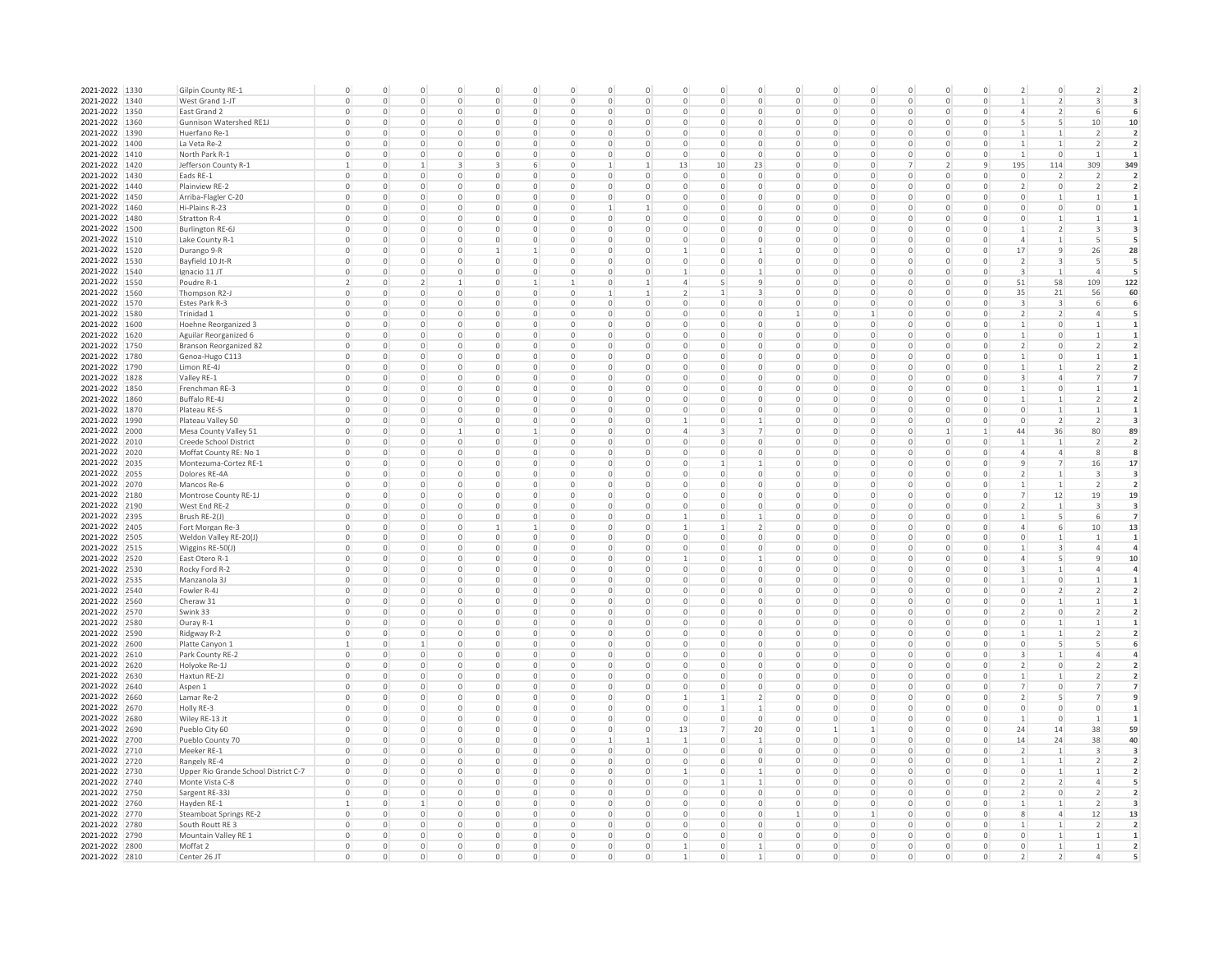| 2021-2022 1330 |      | Gilpin County RE-1                   |                          | $\cap$       | $\circ$        | $\Omega$     | $\Omega$    | $\Omega$         | $\Omega$     | $\Omega$     | $\cap$       | $\circ$        | $\cap$       | O              | $\Omega$       | $\Omega$<br>U              | $\cap$       | $\Omega$       | $\Omega$     | $\overline{\phantom{a}}$ | $\circ$                  |                          |                          |
|----------------|------|--------------------------------------|--------------------------|--------------|----------------|--------------|-------------|------------------|--------------|--------------|--------------|----------------|--------------|----------------|----------------|----------------------------|--------------|----------------|--------------|--------------------------|--------------------------|--------------------------|--------------------------|
| 2021-2022 1340 |      | West Grand 1-JT                      |                          | 0            | $\mathbf 0$    | 0            | 0           | $^{\circ}$       | 0            | U            | $\circ$      | 0              | $\Omega$     | 0              |                | 0<br>0                     | $\circ$      | 0              |              |                          |                          |                          |                          |
| 2021-2022 1350 |      | East Grand 2                         |                          | $\Omega$     | $\mathbb O$    | $\Omega$     | 0           | 0                | O            | $\Omega$     | $\mathsf 0$  | 0              | $\Omega$     | 0              |                | $\Omega$<br>0              | 0            | 0              |              | $\overline{4}$           |                          |                          |                          |
| 2021-2022 1360 |      | Gunnison Watershed RE1J              |                          | $\Omega$     | $\circ$        | $\circ$      | 0           | $\mathbf 0$      | 0            | $\Omega$     | $\circ$      | 0              | $\Omega$     | $\circ$        | $\circ$        | $\Omega$<br>0              | $\mathbf{0}$ | $\mathbf 0$    | $\Omega$     | 5                        | 5                        | 10                       | 10                       |
| 2021-2022 1390 |      | Huerfano Re-1                        |                          | 0            | $\circ$        | $\circ$      | 0           | $\mathbf 0$      | 0            | $\Omega$     | $\mathbf{0}$ | 0              | $\Omega$     | $\circ$        |                | $\mathbf 0$<br>0           | $\circ$      | $\mathbf 0$    | $\Omega$     | $\mathbf{1}$             | 1                        | $\overline{\phantom{a}}$ | $\overline{2}$           |
| 2021-2022 1400 |      | La Veta Re-2                         |                          | $\Omega$     | $\mathbf{0}$   | $\cup$       | 0           | $\mathbf 0$      | O            | 0            | $\mathbf{0}$ | $\mathbf 0$    | $\Omega$     | 0              | $\Omega$       | $\Omega$<br>$\Omega$       | 0            | $\mathbf 0$    |              |                          |                          |                          |                          |
| 2021-2022 1410 |      |                                      |                          | O            | $\mathbf{0}$   | $\Omega$     | 0           | $\mathbf 0$      | O            | $\Omega$     | $\mathbf{0}$ | $\mathbf 0$    | $\Omega$     | $\mathbf 0$    | $\Omega$       | $\Omega$                   |              | $\mathbf 0$    |              |                          | $\Omega$                 |                          |                          |
|                |      | North Park R-1                       |                          |              |                |              |             |                  |              |              |              |                |              |                |                | 0                          | 0            |                | $\mathbf{q}$ |                          |                          |                          |                          |
| 2021-2022 1420 |      | Jefferson County R-1                 |                          | 0            | 1              | 3            | 3           | 6                | $\mathbf 0$  |              | 1            | 13             | 10           | 23             | $\overline{0}$ | $\circ$<br>$\Omega$        |              | $\overline{2}$ |              | 195                      | 114                      | 309                      | 349                      |
| 2021-2022 1430 |      | Eads RE-1                            | $\Omega$                 | 0            | $\circ$        | 0            | 0           | $\circ$          | $\mathbf 0$  | $\Omega$     | $\circ$      | $\mathbf 0$    | $\mathbf{0}$ | $\circ$        | $\circ$        | $\circ$<br>$\circ$         | $\circ$      | $\mathbf 0$    | $\Omega$     | $\circ$                  | $\overline{2}$           | 2                        | $\overline{2}$           |
| 2021-2022 1440 |      | Plainview RE-2                       | $\Omega$                 | 0            | $\circ$        | 0            | 0           | $\circ$          | $\circ$      | $\Omega$     | $\circ$      | $\mathbf 0$    | $\mathbf{0}$ | $\circ$        | $\circ$        | $\circ$<br>$\circ$         | $\mathbf{0}$ | $\mathbf 0$    | $\Omega$     | $\overline{2}$           | $\circ$                  | 2                        | $\overline{2}$           |
| 2021-2022 1450 |      | Arriba-Flagler C-20                  |                          | 0            | $\circ$        | $\Omega$     | 0           | $\circ$          | $\circ$      | $\Omega$     | $\mathbf 0$  | 0              | $\Omega$     | $\mathbf 0$    | $\circ$        | $\Omega$<br>$\Omega$       | 0            | $\mathbf 0$    |              | 0                        |                          |                          |                          |
| 2021-2022 1460 |      | Hi-Plains R-23                       | $\Omega$                 | 0            | $\circ$        | 0            | 0           | 0                | 0            |              | 1            | 0              | $\Omega$     | 0              | 0              | $\Omega$<br>$\mathbf 0$    | 0            | 0              | $\mathbf 0$  | 0                        | $\mathbf 0$              | $\circ$                  |                          |
| 2021-2022 1480 |      | Stratton R-4                         | $^{\circ}$               | $\circ$      | $\circ$        | 0            | 0           | $\circ$          | 0            | 0            | $\circ$      | 0              | $\circ$      | 0              | 0              | $\Omega$<br>$\mathbf 0$    | 0            | 0              | $\mathbf 0$  | 0                        | 1                        | -1                       | 1                        |
| 2021-2022 1500 |      | Burlington RE-6J                     | $^{\circ}$               | 0            | $\circ$        | 0            | 0           | 0                | 0            | 0            | $\circ$      | 0              | $\circ$      | 0              | 0              | 0<br>$\mathbf 0$           | $\circ$      | 0              | $\mathbf 0$  | $\mathbf{1}$             | 2                        | 3                        | 3                        |
| 2021-2022 1510 |      | Lake County R-1                      |                          | 0            | 0              | 0            | 0           | 0                | 0            | 0            | 0            | 0              | 0            | 0              | 0              | 0<br>0                     | 0            | 0              |              | $\sqrt{4}$               |                          | 5                        | 5                        |
| 2021-2022 1520 |      | Durango 9-R                          |                          | 0            | $\mathbf 0$    | $\circ$      | 1           | $\mathbf{1}$     | $\circ$      | 0            | $\circ$      | $\mathbf{1}$   | $\circ$      | 1              | $\circ$        | 0<br>0                     | $\circ$      | 0              | $\circ$      | 17                       | $\overline{9}$           | 26                       | 28                       |
| 2021-2022 1530 |      | Bayfield 10 Jt-R                     | $\circ$                  | $\circ$      | $\overline{0}$ | $\circ$      | 0           | $\mathbf 0$      | $\circ$      | $\mathbf 0$  | $\mathbf{0}$ | $\mathbf 0$    | $\mathbf{0}$ | $\circ$        | $\overline{0}$ | $\mathbf 0$<br>$\circ$     | $\circ$      | $\mathbf 0$    | $\mathbf 0$  | $\overline{2}$           | 3                        | 5                        | 5                        |
| 2021-2022 1540 |      | Ignacio 11 JT                        | $\circ$                  | $\circ$      | $\circ$        | $\circ$      | 0           | $\mathbf 0$      | $\circ$      | $\mathbf 0$  | $\mathbf{0}$ | $\mathbf{1}$   | $\mathbf{0}$ | $\mathbf{1}$   | $\overline{0}$ | $\mathbf 0$<br>$\circ$     | $\mathbf{0}$ | $\mathbf 0$    | $\circ$      | 3                        | $\mathbf{1}$             | $\overline{4}$           | 5                        |
| 2021-2022 1550 |      | Poudre R-1                           | $\overline{\phantom{a}}$ | $\circ$      | $\overline{2}$ | $\mathbf{1}$ | $\mathbf 0$ | $\mathbf{1}$     |              | $\Omega$     | 1            | $\overline{4}$ |              | 9              | $\Omega$       | $\mathbf 0$<br>$\circ$     | $\mathbf{0}$ | $\mathbf 0$    | $\circ$      | 51                       | 58                       | 109                      | 122                      |
| 2021-2022 1560 |      | Thompson R2-                         | $\Omega$                 | $\circ$      | $\circ$        | $\circ$      | $\mathbf 0$ | $\mathbf 0$      | $\mathbf{0}$ | 1            | $\mathbf{1}$ | 2              | $\mathbf{1}$ | $\overline{3}$ | $\overline{0}$ | $\mathbf 0$<br>$\circ$     | $\circ$      | $\mathbf 0$    | $\circ$      | 35                       | 21                       | 56                       | 60                       |
| 2021-2022 1570 |      | Estes Park R-3                       | $\Omega$                 | $\mathbf{0}$ | $\mathbf{0}$   | $\circ$      | $\mathbf 0$ | $\mathbf 0$      | $\mathbf{0}$ | $\Omega$     | $\circ$      | $\circ$        | $\Omega$     | $\circ$        | $\overline{0}$ | $\mathbf 0$<br>$\circ$     | $\mathbf{0}$ | $\mathbf 0$    | $\circ$      | 3                        | 3                        | 6                        | 6                        |
| 2021-2022 1580 |      | Trinidad 1                           | $\Omega$                 | $\mathbf{0}$ | $\mathbf{0}$   | $\circ$      | $\mathbf 0$ | $\mathbf 0$      | $\circ$      | $\Omega$     | $\circ$      | $\circ$        | $\Omega$     | $\circ$        |                | $\mathbf 0$<br>1           | $\mathbf{0}$ | $\mathbf 0$    | $\circ$      | 2                        | 2                        | $\overline{4}$           | 5                        |
| 2021-2022 1600 |      | Hoehne Reorganized 3                 | $\Omega$                 | $\Omega$     | $^{\circ}$     | $\Omega$     | $\Omega$    | $\mathbf 0$      | 0            | $\Omega$     | $\circ$      | 0              | $\Omega$     | $\circ$        | $\circ$        | $\mathbf 0$<br>$\Omega$    | $\Omega$     | 0              | $\circ$      | $\mathbf{1}$             | $\circ$                  |                          |                          |
| 2021-2022 1620 |      | Aguilar Reorganized 6                | $\circ$                  | $\Omega$     | $\circ$        | $\Omega$     | 0           | $\mathbf 0$      | 0            | $\Omega$     | $\circ$      | 0              | $\Omega$     | $\mathbf{0}$   | $\circ$        | $\mathbf 0$<br>$\Omega$    | $\circ$      | 0              | $\circ$      | 1                        | $\circ$                  |                          |                          |
| 2021-2022 1750 |      |                                      | $\circ$                  | $\Omega$     | 0              | $\circ$      | 0           | 0                | 0            | $\Omega$     | $\circ$      | 0              | $\Omega$     | $\circ$        | $\circ$        | 0<br>$\Omega$              | $\circ$      | 0              | $\circ$      | 2                        | 0                        |                          |                          |
|                |      | Branson Reorganized 82               | $\circ$                  | U            |                | 0            | 0           |                  | 0            | $\Omega$     | $\circ$      |                | $\cap$       |                | 0              | 0                          | $\circ$      |                | $\circ$      |                          | 0                        |                          |                          |
| 2021-2022 1780 |      | Genoa-Hugo C113                      |                          |              | $\circ$        |              |             | 0                |              |              |              | 0              |              | 0              |                | 0                          |              | 0              |              | 1                        |                          |                          |                          |
| 2021-2022 1790 |      | Limon RE-4J                          |                          | 0            | 0              | $\circ$      | 0           | 0                | 0            | 0            | $\mathsf 0$  | 0              | $\Omega$     | $\mathsf 0$    |                | 0<br>0                     | 0            | 0              | 0            |                          |                          |                          |                          |
| 2021-2022 1828 |      | Valley RE-1                          | $\Omega$                 | $\Omega$     | $\mathbf 0$    | $\circ$      | 0           | $\circ$          | 0            | $\Omega$     | $\mathbb O$  | 0              | $\Omega$     | $\circ$        |                | $\mathsf 0$<br>$\Omega$    | $\circ$      | 0              | $\Omega$     | $\overline{3}$           | $\overline{4}$           |                          |                          |
| 2021-2022 1850 |      | Frenchman RE-3                       | $\Omega$                 | $\Omega$     | $\circ$        | $\circ$      | 0           | $\mathbf 0$      | 0            | 0            | $\circ$      | 0              | $\Omega$     | $\mathbf 0$    |                | 0<br>$\mathbf 0$           | $\circ$      | $\mathbf 0$    | $\circ$      |                          | $\mathbf 0$              |                          |                          |
| 2021-2022 1860 |      | Buffalo RE-4J                        |                          | 0            | $\circ$        | $\circ$      | 0           | $\mathbf 0$      | 0            | 0            | $\circ$      | 0              | $\Omega$     | $\circ$        |                | $\mathbf 0$<br>0           | $\circ$      | $\mathbf 0$    | $\circ$      |                          |                          |                          |                          |
| 2021-2022 1870 |      | Plateau RE-5                         |                          | $\Omega$     | $\mathbf{0}$   | $\cup$       | $\Omega$    | $\circ$          | $\Omega$     | 0            | $\circ$      | $\Omega$       | $\Omega$     | $\Omega$       | $\Omega$       | $\Omega$<br>$\Omega$       | $\Omega$     | $\mathbf 0$    |              | $\mathbf 0$              |                          |                          |                          |
| 2021-2022 1990 |      | Plateau Valley 50                    |                          | O            | $\mathbf{0}$   | $\cup$       | 0           | $\mathbf 0$      | O            | 0            | $\circ$      |                | $\Omega$     |                | $\Omega$       | $\Omega$<br>0              | $\Omega$     | $\mathbf 0$    |              | $\Omega$                 | $\overline{2}$           |                          |                          |
| 2021-2022 2000 |      | Mesa County Valley 51                | $\Omega$                 | 0            | $\circ$        |              | $\Omega$    | 1                | $\mathbf 0$  | $\Omega$     | $\circ$      | 4              | 3            |                | $\Omega$       | $\mathbf 0$<br>$\Omega$    | $\circ$      | 1              |              | 44                       | 36                       | 80                       | 89                       |
| 2021-2022 2010 |      | Creede School District               | $\Omega$                 | 0            | $\circ$        | 0            | 0           | $\circ$          | $\mathbf 0$  | $\Omega$     | $\circ$      | $\circ$        | $\Omega$     | $\overline{0}$ | $\circ$        | $\mathbf 0$<br>0           | $\mathbf{0}$ | $\mathbf 0$    | $\Omega$     |                          | $\mathbf{1}$             | $\overline{2}$           | $\overline{2}$           |
| 2021-2022 2020 |      | Moffat County RE: No 1               | $\Omega$                 | 0            | $\circ$        | 0            | 0           | $\mathbf 0$      | 0            | $\Omega$     | $\circ$      | $\circ$        | $\Omega$     | $\circ$        | $\circ$        | 0<br>0                     | $\circ$      | $\mathbf 0$    | $\Omega$     | 4                        | $\overline{4}$           | 8                        | 8                        |
| 2021-2022 2035 |      | Montezuma-Cortez RE-1                |                          | O            | $\circ$        | $\Omega$     | Ω           | 0                | O            |              | 0            | 0              |              |                | $\Omega$       | $\Omega$<br>0              | $\Omega$     | 0              |              | 9                        | 7                        | 16                       | 17                       |
| 2021-2022 2055 |      | Dolores RE-4A                        | $\Omega$                 | $\Omega$     | $\circ$        | $\Omega$     | 0           | 0                | 0            | $\Omega$     | $\circ$      | 0              | $\circ$      | 0              | $\circ$        | $\Omega$<br>0              | $\circ$      | 0              | $\Omega$     | 2                        | 1                        | 3                        | 3                        |
| 2021-2022 2070 |      | Mancos Re-6                          | $\circ$                  | 0            | $\circ$        | $\Omega$     | 0           | $\circ$          | 0            | 0            | $\circ$      | 0              | $\circ$      | 0              | 0              | 0<br>0                     | 0            | 0              | $\mathbf 0$  | 1                        | 1                        | 2                        | $\overline{\phantom{a}}$ |
| 2021-2022 2180 |      | Montrose County RE-1J                | $\Omega$                 | $\Omega$     | $\circ$        | $\Omega$     | 0           | 0                | $\Omega$     | $\Omega$     | $\circ$      | 0              | $\Omega$     | 0              | 0              | $\Omega$<br>0              | 0            | 0              | $\Omega$     | 7                        | 12                       | 19                       | 19                       |
| 2021-2022 2190 |      | West End RE-2                        |                          | 0            | 0              | 0            | 0           | 0                | 0            | 0            | 0            | 0              |              | 0              |                | 0<br>0                     | 0            | 0              |              | 2                        | 1                        | 3                        | 3                        |
| 2021-2022 2395 |      | Brush RE-2(J)                        |                          | 0            | $\mathbf{0}$   | $\circ$      | 0           | $\mathbf 0$      | 0            | $\mathbf 0$  | $\mathbf{0}$ | 1              | $\mathbf{0}$ | $\mathbf{1}$   | $\circ$        | $\mathbf 0$<br>0           | $\mathbf{0}$ | $\mathbf 0$    |              | $\mathbf{1}$             | 5                        | 6                        | $\overline{7}$           |
| 2021-2022 2405 |      | Fort Morgan Re-3                     | $\circ$                  | $\circ$      | $\mathbf{0}$   | $\circ$      | 1           | $\mathbf{1}$     | 0            | $\mathbf 0$  | $\mathbf{0}$ | 1              |              | $\overline{2}$ | $\circ$        | $\mathbf 0$<br>0           | $\mathbf{0}$ | $\mathbf 0$    | $\circ$      | $\overline{4}$           | 6                        | 10                       | 13                       |
| 2021-2022 2505 |      | Weldon Valley RE-20(J)               | $\circ$                  | 0            | $\mathbf{0}$   | $\circ$      | 0           | $\mathbf 0$      | 0            | $\mathbf{0}$ | $\mathbf{0}$ | $\circ$        | $\mathbf{0}$ | $\mathbf{0}$   | $\circ$        | $\mathbf 0$<br>0           | $\mathbf{0}$ | $\mathbf 0$    | $\circ$      | $\circ$                  | $\mathbf{1}$             | $\mathbf{1}$             | $\mathbf{1}$             |
| 2021-2022 2515 |      |                                      |                          |              |                |              | $\mathbf 0$ |                  |              | $\Omega$     |              |                | $\Omega$     | $\circ$        |                |                            |              | $\mathbf 0$    |              |                          |                          | $\overline{4}$           | $\overline{a}$           |
|                |      | Wiggins RE-50(J)                     | $\Omega$                 | $\circ$      | $\mathbf{0}$   | 0            |             | $\mathbf 0$      | 0            |              | $\circ$      | $\circ$        |              |                | $\Omega$       | $\mathbf 0$<br>$\circ$     | $\mathbf{0}$ |                | $\circ$      | 1<br>$\overline{4}$      | 3                        |                          |                          |
| 2021-2022 2520 |      | East Otero R-1                       | $\circ$                  | $\mathbf{0}$ | $\circ$        | $\circ$      | $\circ$     | $\circ$          | $\mathbf{0}$ | $\Omega$     | $\circ$      | $\mathbf{1}$   | $\mathbf{0}$ | $\mathbf{1}$   | $\circ$        | $\circ$<br>$\circ$         | $\mathbf{0}$ | $\mathbf 0$    | $\circ$      |                          | 5                        | 9                        | 10                       |
| 2021-2022 2530 |      | Rocky Ford R-2                       | $\circ$                  | $\mathbf{0}$ | $\circ$        | $\circ$      | $\circ$     | $\mathbf 0$      | $\circ$      | $\mathbf{0}$ | $\circ$      | $\mathbf 0$    | $\mathbf{0}$ | $\mathbf{0}$   | $\circ$        | $\mathbf 0$<br>$\circ$     | $\mathbf{0}$ | $\mathbf 0$    | $\circ$      | 3                        | 1                        | 4                        |                          |
| 2021-2022 2535 |      | Manzanola 3J                         | $\circ$                  | $\mathbf{0}$ | $\circ$        | $\circ$      | 0           | $\mathbf 0$      | 0            | $\mathbf{0}$ | $\circ$      | $\circ$        | $\circ$      | $\mathbf{0}$   | $\circ$        | $\mathbf 0$<br>$\circ$     | $\mathbf{0}$ | $\circ$        | $\circ$      | 1                        | $\mathbf 0$              |                          |                          |
| 2021-2022 2540 |      | Fowler R-4J                          | $\Omega$                 | $\Omega$     | $\circ$        | $\Omega$     | 0           | $^{\circ}$       | 0            | $\Omega$     | $\circ$      | 0              | $\Omega$     | 0              | $\Omega$       | 0<br>0                     | $\circ$      | 0              | $^{\circ}$   | 0                        | $\overline{\phantom{a}}$ |                          |                          |
| 2021-2022 2560 |      | Cheraw 31                            | $\circ$                  | $\Omega$     | $\circ$        | $\circ$      | $\circ$     | $^{\circ}$       | 0            | $\circ$      | $\circ$      | 0              | $\Omega$     | $\circ$        | $\circ$        | $\Omega$<br>$\mathbf 0$    | $\circ$      | 0              | $\circ$      | $\circ$                  | $\mathbf{1}$             |                          |                          |
| 2021-2022 2570 |      | Swink 33                             | $\circ$                  | $\Omega$     | $\circ$        | $\Omega$     | $\circ$     | 0                | 0            | $\circ$      | $\circ$      | 0              | $\cap$       | 0              | $\circ$        | $\Omega$<br>0              | $\circ$      | 0              | $\circ$      | 2                        | 0                        |                          |                          |
| 2021-2022 2580 |      | Ouray R-1                            | $\Omega$                 | $\Omega$     | $\circ$        | $\Omega$     | 0           | 0                | O            | $\Omega$     | $\Omega$     | 0              | $\cap$       | 0              | $\Omega$       | $\Omega$<br>$\Omega$       | $\Omega$     | 0              | $\Omega$     | 0                        |                          |                          |                          |
| 2021-2022      | 2590 | Ridgway R-2                          |                          | $\Omega$     | 0              | $\Omega$     | 0           | 0                |              | $\Omega$     | $\mathsf 0$  | 0              | $\Omega$     | 0              |                | $\Omega$<br>0              | 0            | 0              |              |                          |                          |                          |                          |
| 2021-2022 2600 |      | Platte Canyon 1                      |                          | $\Omega$     |                | $\Omega$     | 0           | $\mathbf 0$      |              | 0            | $\circ$      | 0              | $\Omega$     | 0              |                | $\Omega$<br>0              | $\circ$      | $\mathbf 0$    |              | $\mathbf 0$              |                          |                          |                          |
| 2021-2022 2610 |      | Park County RE-2                     |                          | 0            | $\mathbf{0}$   | $\circ$      | 0           | $\mathbf 0$      | 0            | $\Omega$     | $\circ$      | 0              | $\Omega$     | $\mathbf{0}$   |                | $\mathbf 0$<br>0           | $\circ$      | $\mathbf 0$    | $\Omega$     | 3                        |                          |                          |                          |
| 2021-2022 2620 |      | Holyoke Re-1J                        |                          | 0            | $\mathbf{0}$   | $\mathbf 0$  | 0           | $\mathbf 0$      | 0            | $\mathbf 0$  | $\mathbf{0}$ | 0              | $\Omega$     | $\mathbf{0}$   | $\circ$        | $\mathbf 0$<br>0           | $\mathbf{0}$ | $\mathbf 0$    |              | $\overline{2}$           | $\mathbf 0$              |                          |                          |
| 2021-2022      | 2630 | Haxtun RE-2J                         |                          | 0            | $\mathbf{0}$   | $\cup$       | $\Omega$    | $\circ$          | $\Omega$     | $\Omega$     | $\circ$      | $\Omega$       | $\Omega$     | 0              | $\Omega$       | 0<br>$\Omega$              | $\circ$      | $\mathbf 0$    |              |                          |                          |                          |                          |
| 2021-2022      | 2640 | Aspen 1                              |                          | 0            | $\mathbf{0}$   | $\cup$       | 0           | $\mathbf 0$      | 0            | $\Omega$     | $\mathbf{0}$ | 0              | $\Omega$     | $\mathbf 0$    | $\Omega$       | $\mathbf 0$<br>$\Omega$    | 0            | $\mathbf 0$    |              |                          | $\circ$                  |                          |                          |
| 2021-2022 2660 |      | Lamar Re-2                           | $\Omega$                 | $\circ$      | $\circ$        | 0            | 0           | $\circ$          | $\circ$      | $\Omega$     | $\circ$      | 1              |              | 2              | $\overline{0}$ | $\circ$<br>$\circ$         | $\mathbf{0}$ | $\mathbf 0$    | $\Omega$     | $\overline{2}$           | 5                        |                          |                          |
| 2021-2022 2670 |      | Holly RE-3                           | $\Omega$                 | $\circ$      | $\circ$        | 0            | $\mathbf 0$ | $\circ$          | $\circ$      | $\Omega$     | $\circ$      | $\mathbf 0$    | -1           | 1              | $\overline{0}$ | $\mathbf 0$<br>$\circ$     | $\mathbf{0}$ | $\mathbf 0$    | $\Omega$     | $\circ$                  | $\mathbf 0$              | $\circ$                  |                          |
| 2021-2022 2680 |      | Wiley RE-13 Jt                       | $\Omega$                 | $\circ$      | $\circ$        | 0            | 0           | $\circ$          | $\circ$      | $\mathbf 0$  | $\circ$      | $\mathbf 0$    | $\mathbf{0}$ | $\circ$        | $\circ$        | $\mathbf 0$<br>$\mathbf 0$ | $\mathbf{0}$ | $\mathbf 0$    | $\Omega$     | 1                        | $\overline{0}$           | -1                       |                          |
| 2021-2022 2690 |      | Pueblo City 60                       |                          | 0            | $^{\circ}$     | $\circ$      | 0           | $\circ$          | $\circ$      | 0            | $\circ$      | 13             |              | 20             | $\circ$        |                            | 0            | 0              | $\Omega$     | 24                       | 14                       | 38                       | 59                       |
| 2021-2022 2700 |      |                                      | $^{\circ}$               | $\circ$      | $\circ$        | $\circ$      | 0           |                  | 0            | -1           | $\mathbf{1}$ |                | $\circ$      | 1              |                | 0<br>$\mathbf 0$           |              | 0              | $\mathbf 0$  | 14                       |                          |                          | 40                       |
|                |      | Pueblo County 70                     |                          |              |                |              |             | 0<br>$\mathbb O$ |              |              |              | 1              |              |                | $\circ$        |                            | 0            |                |              |                          | 24                       | 38                       |                          |
| 2021-2022 2710 |      | Meeker RE-1                          | $^{\circ}$               | $\circ$      | $\circ$        | 0            | 0           |                  | 0            | $\circ$      | $\circ$      | 0              | $\circ$      | 0              | $\circ$        | 0<br>0                     | $\circ$      | 0              | $\mathbf 0$  | 2                        | 1                        | 3                        | 3                        |
| 2021-2022 2720 |      | Rangely RE-4                         | $\Omega$                 | $\circ$      | $\circ$        | $\Omega$     | 0           | $\circ$          | $\circ$      | $\mathbf 0$  | $\circ$      | 0              | $\circ$      | 0              | $\circ$        | $\Omega$<br>$\circ$        | $\circ$      | $\mathbf 0$    | 0            | $\mathbf{1}$             | 1                        | 2                        | $\overline{2}$           |
| 2021-2022 2730 |      | Upper Rio Grande School District C-7 |                          | 0            | $\mathbf 0$    | $\circ$      | 0           | $\circ$          | 0            | 0            | 0            | $\mathbf{1}$   | $\Omega$     | 1              | $\circ$        | 0<br>0                     | $\circ$      | 0              |              | 0                        |                          |                          | $\overline{2}$           |
| 2021-2022 2740 |      | Monte Vista C-8                      | $\mathbf 0$              | $\mathbf{0}$ | $\circ$        | $\circ$      | 0           | $\mathbf 0$      | $\circ$      | $\mathbf 0$  | $\mathbf 0$  | $\mathbf 0$    |              | $\mathbf{1}$   | $\overline{0}$ | $\mathbf 0$<br>$\circ$     | $\circ$      | $\mathbf 0$    | $\mathbf 0$  | $\overline{2}$           | $\overline{2}$           | $\overline{4}$           | 5                        |
| 2021-2022 2750 |      | Sargent RE-33J                       | $\mathbf 0$              | $\mathbf{0}$ | $\mathbf{0}$   | $\mathbf{0}$ | 0           | $\mathbf 0$      | $\circ$      | $\mathbf{0}$ | $\mathbf{0}$ | $\mathbf 0$    | $\mathbf{0}$ | $\mathbf{0}$   | $\overline{0}$ | $\mathbf 0$<br>$\circ$     | $\mathbf{0}$ | $\mathbf 0$    | $\mathbf 0$  | $\overline{2}$           | $\mathbf 0$              | $\overline{\phantom{a}}$ | $\overline{2}$           |
| 2021-2022 2760 |      | Hayden RE-1                          |                          | $\circ$      | $\mathbf{1}$   | $\mathbf{0}$ | 0           | $\mathbf 0$      | 0            | $\circ$      | $\mathbf{0}$ | $\circ$        | $\mathbf{0}$ | $\mathbf{0}$   | $\overline{0}$ | $\mathbf 0$<br>0           | $\mathbf{0}$ | $\mathbf 0$    | $\circ$      | $\mathbf{1}$             | $\mathbf{1}$             | 2                        |                          |
| 2021-2022 2770 |      | <b>Steamboat Springs RE-2</b>        | $\Omega$                 | 0            | $\mathbf{0}$   | 0            | $\mathbf 0$ | $\mathbf 0$      | $\circ$      | $\Omega$     | $\mathbf{0}$ | $\circ$        | $\Omega$     | $\mathbf 0$    |                | $\mathbf 0$<br>1           | $\mathbf{0}$ | $\mathbf 0$    | $\Omega$     | 8                        | $\overline{4}$           | 12                       | 13                       |
| 2021-2022 2780 |      | South Routt RE 3                     | $\Omega$                 | $\mathbf{0}$ | $\circ$        | $\circ$      | $\mathbf 0$ | $\mathbf 0$      | $\circ$      | $\Omega$     | $\circ$      | $\circ$        | $\Omega$     | $\circ$        | $\overline{0}$ | $\mathbf 0$<br>$\mathbf 0$ | $\mathbf{0}$ | $\mathbf 0$    | $\circ$      | $\mathbf{1}$             | 1                        | $\overline{\phantom{a}}$ | $\overline{2}$           |
| 2021-2022 2790 |      | Mountain Valley RE 1                 | $\circ$                  | $\mathbf{0}$ | $\mathbf{0}$   | $\circ$      | $\mathbf 0$ | $\mathbf 0$      | $\mathbf{0}$ | $\Omega$     | $\circ$      | $\circ$        | $\Omega$     | $\circ$        | $\overline{0}$ | $\mathbf 0$<br>$\circ$     | $\mathbf{0}$ | $\mathbf 0$    | $\circ$      | $\circ$                  | 1                        | 1                        |                          |
| 2021-2022 2800 |      | Moffat 2                             | $\circ$                  | $\circ$      | $\mathbf{0}$   | $\circ$      | 0           | $\mathbf 0$      | $\mathbf{0}$ | $\mathbf{0}$ | $\circ$      | 1              | $\circ$      | $\mathbf{1}$   | $\circ$        | $\mathbf 0$<br>$\mathbf 0$ | $\mathbf{0}$ | $\mathbf 0$    | $\circ$      | $\circ$                  | 1                        | $\mathbf{1}$             |                          |
| 2021-2022 2810 |      | Center 26 JT                         | $\circ$                  | $\circ$      | $\circ$        | $\Omega$     | $\circ$     | $\mathbf 0$      | $\mathbf{0}$ | $\Omega$     | $\circ$      | 1              | $\Omega$     | $\mathbf{1}$   | $\circ$        | $\circ$<br>$\Omega$        | $\mathbf{0}$ | $\Omega$       | $\circ$      | $\overline{2}$           | $\overline{\phantom{a}}$ | $\overline{4}$           |                          |
|                |      |                                      |                          |              |                |              |             |                  |              |              |              |                |              |                |                |                            |              |                |              |                          |                          |                          |                          |